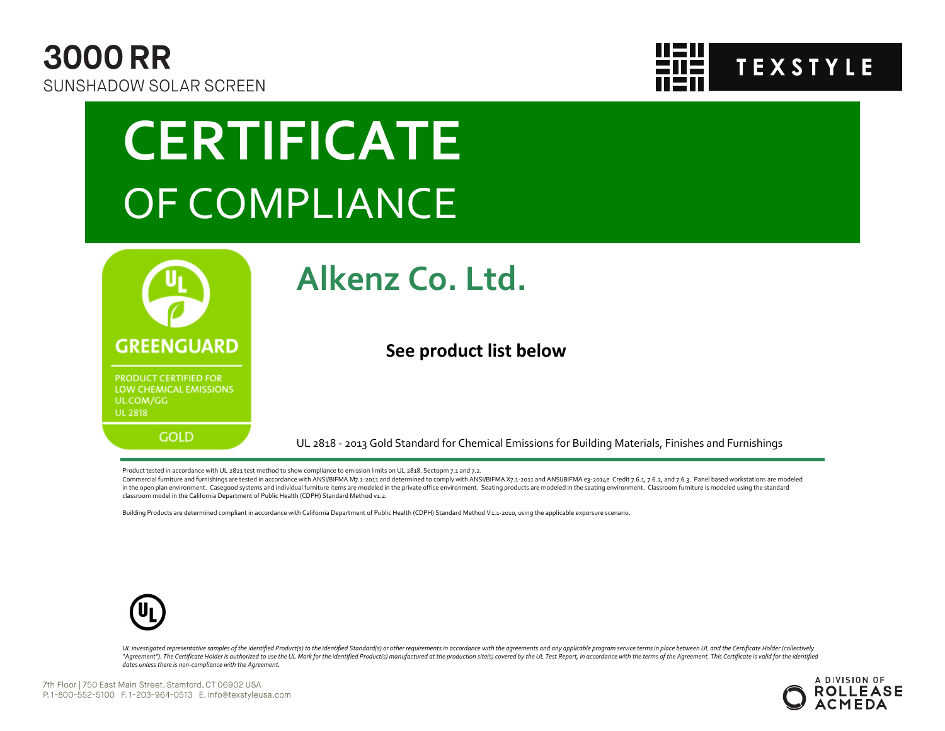



# **CERTIFICATE** OF COMPLIANCE



### **Alkenz Co. Ltd.**

#### **See product list below**

UL 2818 - 2013 Gold Standard for Chemical Emissions for Building Materials, Finishes and Furnishings

Product tested in accordance with UL 2821 test method to show compliance to emission limits on UL 2818. Sectopm 7.1 and 7.2.

Commercial furniture and furnishings are tested in accordance with ANSI/BIFMA M7.1-2011 and determined to comply with ANSI/BIFMA X7.1-2011 and ANSI/BIFMA e3-2014e Credit 7.6.1, 7.6.2, and 7.6.3. Panel based workstations ar in the open plan environment. Casegood systems and individual furniture items are modeled in the private office environment. Seating products are modeled in the seating environment. Classroom furniture is modeled using the classroom model in the California Department of Public Health (CDPH) Standard Method v1.2.

Building Products are determined compliant in accordance with California Department of Public Health (CDPH) Standard Method V1.1-2010, using the applicable exporsure scenario.



UL investigated representative samples of the identified Product(s) to the identified Standard(s) or other requirements in accordance with the agreements and any applicable program service terms in place between UL and the "Agreement"). The Certificate Holder is authorized to use the UL Mark for the identified Product(s) manufactured at the production site(s) covered by the UL Test Report, in accordance with the terms of the Agreement. This *dates unless there is non-compliance with the Agreement.*

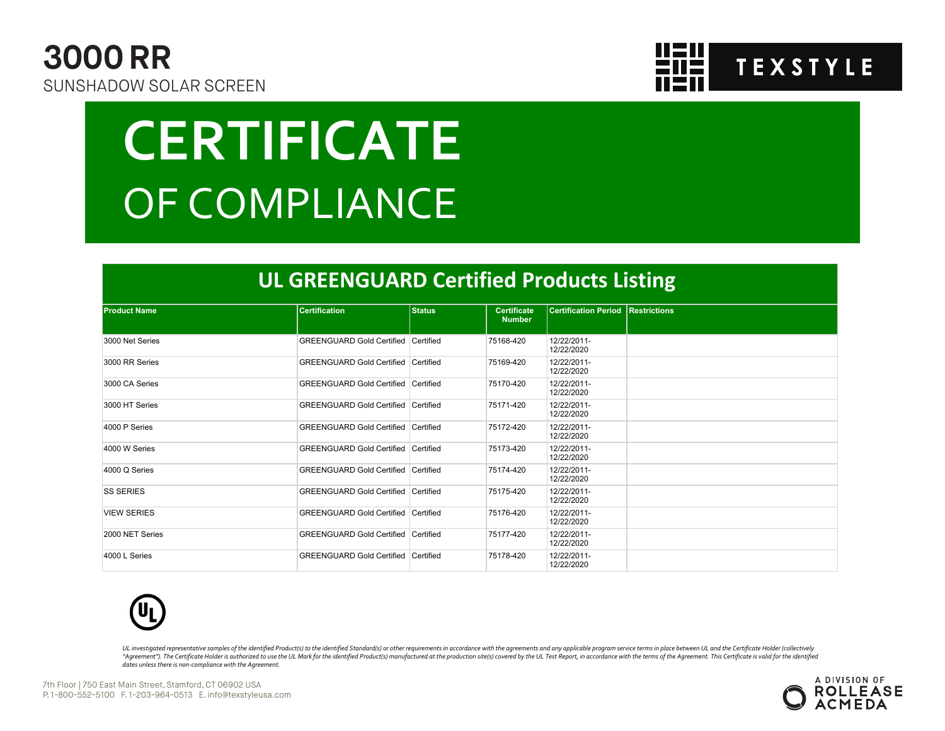



# **CERTIFICATE** OF COMPLIANCE

#### **UL GREENGUARD Certified Products Listing**

| <b>Product Name</b> | <b>Certification</b>                       | <b>Status</b> | <b>Certificate</b><br><b>Number</b> | <b>Certification Period Restrictions</b> |  |
|---------------------|--------------------------------------------|---------------|-------------------------------------|------------------------------------------|--|
|                     |                                            |               |                                     |                                          |  |
| 3000 Net Series     | <b>GREENGUARD Gold Certified Certified</b> |               | 75168-420                           | 12/22/2011-<br>12/22/2020                |  |
| 3000 RR Series      | GREENGUARD Gold Certified Certified        |               | 75169-420                           | 12/22/2011-<br>12/22/2020                |  |
| 3000 CA Series      | GREENGUARD Gold Certified Certified        |               | 75170-420                           | 12/22/2011-<br>12/22/2020                |  |
| 3000 HT Series      | GREENGUARD Gold Certified Certified        |               | 75171-420                           | 12/22/2011-<br>12/22/2020                |  |
| 4000 P Series       | GREENGUARD Gold Certified Certified        |               | 75172-420                           | 12/22/2011-<br>12/22/2020                |  |
| 4000 W Series       | GREENGUARD Gold Certified Certified        |               | 75173-420                           | 12/22/2011-<br>12/22/2020                |  |
| 4000 Q Series       | GREENGUARD Gold Certified Certified        |               | 75174-420                           | 12/22/2011-<br>12/22/2020                |  |
| <b>SS SERIES</b>    | <b>GREENGUARD Gold Certified Certified</b> |               | 75175-420                           | 12/22/2011-<br>12/22/2020                |  |
| <b>VIEW SERIES</b>  | GREENGUARD Gold Certified Certified        |               | 75176-420                           | 12/22/2011-<br>12/22/2020                |  |
| 2000 NET Series     | <b>GREENGUARD Gold Certified Certified</b> |               | 75177-420                           | 12/22/2011-<br>12/22/2020                |  |
| 4000 L Series       | GREENGUARD Gold Certified Certified        |               | 75178-420                           | 12/22/2011-<br>12/22/2020                |  |



UL investigated representative samples of the identified Product(s) to the identified Standard(s) or other requirements in accordance with the agreements and any applicable program service terms in place between UL and the "Agreement"). The Certificate Holder is authorized to use the UL Mark for the identified Product(s) manufactured at the production site(s) covered by the UL Test Report, in accordance with the terms of the Agreement. This *dates unless there is non-compliance with the Agreement.*

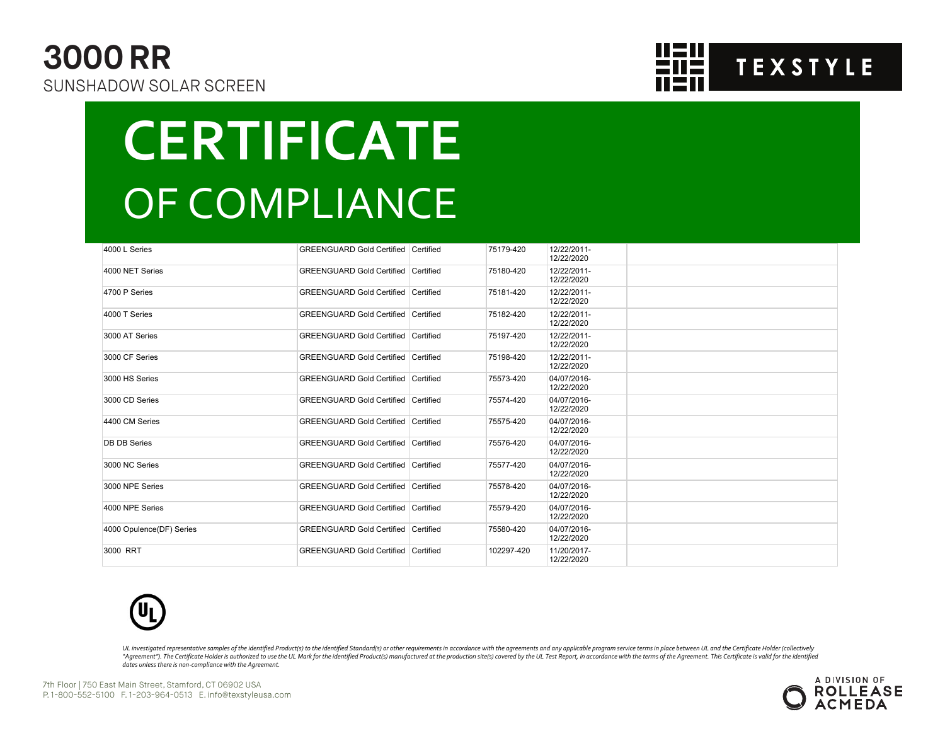### **3000 RR** SUNSHADOW SOLAR SCREEN



## **CERTIFICATE** OF COMPLIANCE

| 4000 L Series            | <b>GREENGUARD Gold Certified Certified</b> | 75179-420  | 12/22/2011-<br>12/22/2020 |  |
|--------------------------|--------------------------------------------|------------|---------------------------|--|
| 4000 NET Series          | <b>GREENGUARD Gold Certified Certified</b> | 75180-420  | 12/22/2011-<br>12/22/2020 |  |
| 4700 P Series            | <b>GREENGUARD Gold Certified Certified</b> | 75181-420  | 12/22/2011-<br>12/22/2020 |  |
| 4000 T Series            | <b>GREENGUARD Gold Certified Certified</b> | 75182-420  | 12/22/2011-<br>12/22/2020 |  |
| 3000 AT Series           | <b>GREENGUARD Gold Certified Certified</b> | 75197-420  | 12/22/2011-<br>12/22/2020 |  |
| 3000 CF Series           | <b>GREENGUARD Gold Certified Certified</b> | 75198-420  | 12/22/2011-<br>12/22/2020 |  |
| 3000 HS Series           | <b>GREENGUARD Gold Certified Certified</b> | 75573-420  | 04/07/2016-<br>12/22/2020 |  |
| 3000 CD Series           | <b>GREENGUARD Gold Certified Certified</b> | 75574-420  | 04/07/2016-<br>12/22/2020 |  |
| 4400 CM Series           | <b>GREENGUARD Gold Certified Certified</b> | 75575-420  | 04/07/2016-<br>12/22/2020 |  |
| <b>DB DB Series</b>      | <b>GREENGUARD Gold Certified Certified</b> | 75576-420  | 04/07/2016-<br>12/22/2020 |  |
| 3000 NC Series           | <b>GREENGUARD Gold Certified Certified</b> | 75577-420  | 04/07/2016-<br>12/22/2020 |  |
| 3000 NPE Series          | <b>GREENGUARD Gold Certified Certified</b> | 75578-420  | 04/07/2016-<br>12/22/2020 |  |
| 4000 NPE Series          | <b>GREENGUARD Gold Certified Certified</b> | 75579-420  | 04/07/2016-<br>12/22/2020 |  |
| 4000 Opulence(DF) Series | <b>GREENGUARD Gold Certified Certified</b> | 75580-420  | 04/07/2016-<br>12/22/2020 |  |
| 3000 RRT                 | <b>GREENGUARD Gold Certified Certified</b> | 102297-420 | 11/20/2017-<br>12/22/2020 |  |



UL investigated representative samples of the identified Product(s) to the identified Standard(s) or other requirements in accordance with the agreements and any applicable program service terms in place between UL and the "Agreement"). The Certificate Holder is authorized to use the UL Mark for the identified Product(s) manufactured at the production site(s) covered by the UL Test Report, in accordance with the terms of the Agreement. This *dates unless there is non-compliance with the Agreement.*